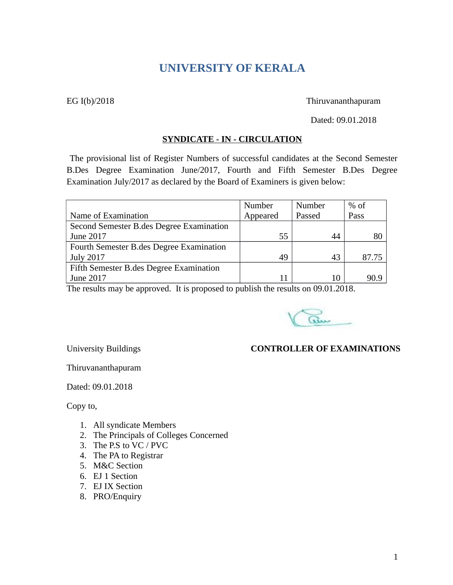# **UNIVERSITY OF KERALA**

#### EG I(b)/2018 Thiruvananthapuram

Dated: 09.01.2018

#### **SYNDICATE - IN - CIRCULATION**

The provisional list of Register Numbers of successful candidates at the Second Semester B.Des Degree Examination June/2017, Fourth and Fifth Semester B.Des Degree Examination July/2017 as declared by the Board of Examiners is given below:

|                                          | Number   | Number | $%$ of |
|------------------------------------------|----------|--------|--------|
| Name of Examination                      | Appeared | Passed | Pass   |
| Second Semester B.des Degree Examination |          |        |        |
| June 2017                                | 55       | 44     | 80     |
| Fourth Semester B.des Degree Examination |          |        |        |
| <b>July 2017</b>                         | 49       | 43     | 87.75  |
| Fifth Semester B.des Degree Examination  |          |        |        |
| June 2017                                |          | 10     | 90.9   |

The results may be approved. It is proposed to publish the results on 09.01.2018.

au

# University Buildings **CONTROLLER OF EXAMINATIONS**

Thiruvananthapuram

Dated: 09.01.2018

Copy to,

- 1. All syndicate Members
- 2. The Principals of Colleges Concerned
- 3. The P.S to VC / PVC
- 4. The PA to Registrar
- 5. M&C Section
- 6. EJ 1 Section
- 7. EJ IX Section
- 8. PRO/Enquiry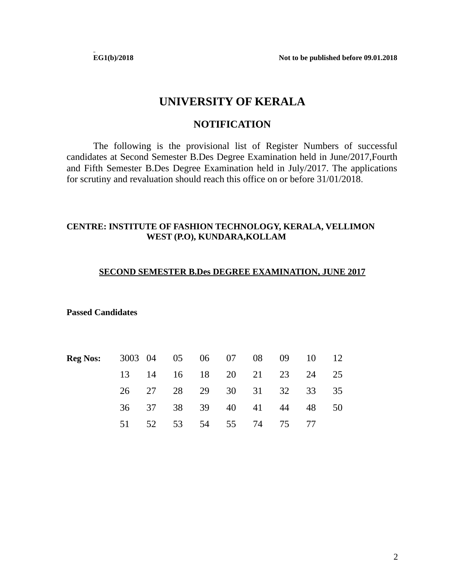**EG1(b)/2018 Not to be published before 09.01.2018**

# **UNIVERSITY OF KERALA**

# **NOTIFICATION**

The following is the provisional list of Register Numbers of successful candidates at Second Semester B.Des Degree Examination held in June/2017,Fourth and Fifth Semester B.Des Degree Examination held in July/2017. The applications for scrutiny and revaluation should reach this office on or before 31/01/2018.

# **CENTRE: INSTITUTE OF FASHION TECHNOLOGY, KERALA, VELLIMON WEST (P.O), KUNDARA,KOLLAM**

## **SECOND SEMESTER B.Des DEGREE EXAMINATION, JUNE 2017**

**Passed Candidates**

| <b>Reg Nos:</b> |       |       |    |       |                   |          | 3003 04 05 06 07 08 09 10 12 |    |
|-----------------|-------|-------|----|-------|-------------------|----------|------------------------------|----|
|                 |       | 13 14 |    |       |                   |          | 16 18 20 21 23 24 25         |    |
|                 |       | 26 27 |    |       |                   |          | 28 29 30 31 32 33 35         |    |
|                 | 36 37 |       |    |       | 38 39 40 41 44 48 |          |                              | 50 |
|                 | 51.   | 52    | 53 | 54 55 |                   | 74 75 77 |                              |    |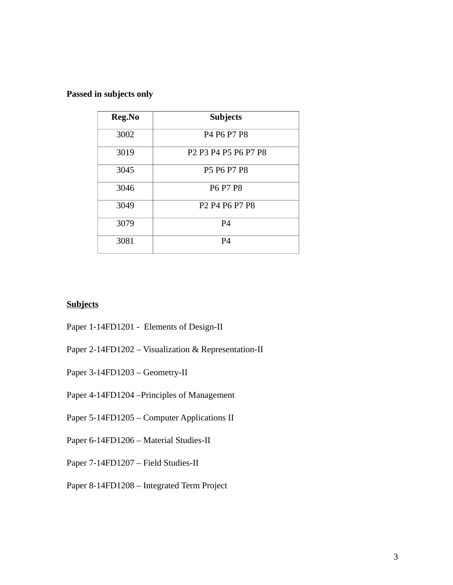# **Passed in subjects only**

| Reg.No | <b>Subjects</b>                                                                                          |  |  |  |  |  |
|--------|----------------------------------------------------------------------------------------------------------|--|--|--|--|--|
| 3002   | P <sub>4</sub> P <sub>6</sub> P <sub>7</sub> P <sub>8</sub>                                              |  |  |  |  |  |
| 3019   | P <sub>2</sub> P <sub>3</sub> P <sub>4</sub> P <sub>5</sub> P <sub>6</sub> P <sub>7</sub> P <sub>8</sub> |  |  |  |  |  |
| 3045   | P5 P6 P7 P8                                                                                              |  |  |  |  |  |
| 3046   | <b>P6 P7 P8</b>                                                                                          |  |  |  |  |  |
| 3049   | P <sub>2</sub> P <sub>4</sub> P <sub>6</sub> P <sub>7</sub> P <sub>8</sub>                               |  |  |  |  |  |
| 3079   | P4                                                                                                       |  |  |  |  |  |
| 3081   | P4                                                                                                       |  |  |  |  |  |

# **Subjects**

- Paper 1-14FD1201 Elements of Design-II
- Paper 2-14FD1202 Visualization & Representation-II
- Paper 3-14FD1203 Geometry-II
- Paper 4-14FD1204 –Principles of Management
- Paper 5-14FD1205 Computer Applications II
- Paper 6-14FD1206 Material Studies-II
- Paper 7-14FD1207 Field Studies-II
- Paper 8-14FD1208 Integrated Term Project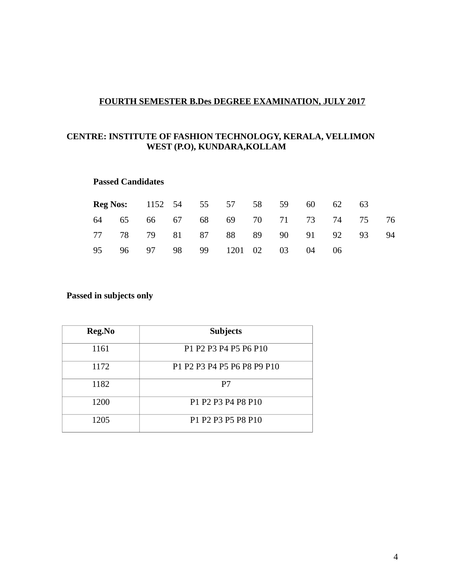# **FOURTH SEMESTER B.Des DEGREE EXAMINATION, JULY 2017**

# **CENTRE: INSTITUTE OF FASHION TECHNOLOGY, KERALA, VELLIMON WEST (P.O), KUNDARA,KOLLAM**

#### **Passed Candidates**

|  |  | <b>Reg Nos:</b> 1152 54 55 57 58 59 |  |       | 60 62 63 |    |    |
|--|--|-------------------------------------|--|-------|----------|----|----|
|  |  | 64 65 66 67 68 69 70 71 73 74 75    |  |       |          |    | 76 |
|  |  | 77 78 79 81 87 88 89 90 91 92       |  |       |          | 93 | 94 |
|  |  | 95 96 97 98 99 1201 02 03           |  | 04 06 |          |    |    |

## **Passed in subjects only**

| Reg.No | <b>Subjects</b>             |  |  |  |  |  |
|--------|-----------------------------|--|--|--|--|--|
| 1161   | P1 P2 P3 P4 P5 P6 P10       |  |  |  |  |  |
| 1172   | P1 P2 P3 P4 P5 P6 P8 P9 P10 |  |  |  |  |  |
| 1182   | P7                          |  |  |  |  |  |
| 1200   | P1 P2 P3 P4 P8 P10          |  |  |  |  |  |
| 1205   | P1 P2 P3 P5 P8 P10          |  |  |  |  |  |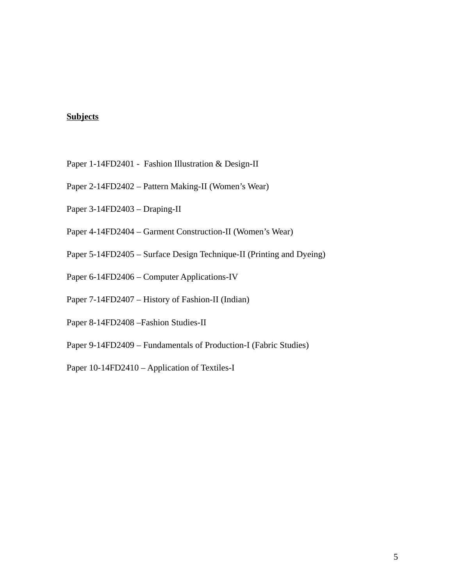# **Subjects**

- Paper 1-14FD2401 Fashion Illustration & Design-II
- Paper 2-14FD2402 Pattern Making-II (Women's Wear)
- Paper 3-14FD2403 Draping-II
- Paper 4-14FD2404 Garment Construction-II (Women's Wear)
- Paper 5-14FD2405 Surface Design Technique-II (Printing and Dyeing)
- Paper 6-14FD2406 Computer Applications-IV
- Paper 7-14FD2407 History of Fashion-II (Indian)
- Paper 8-14FD2408 –Fashion Studies-II
- Paper 9-14FD2409 Fundamentals of Production-I (Fabric Studies)
- Paper 10-14FD2410 Application of Textiles-I